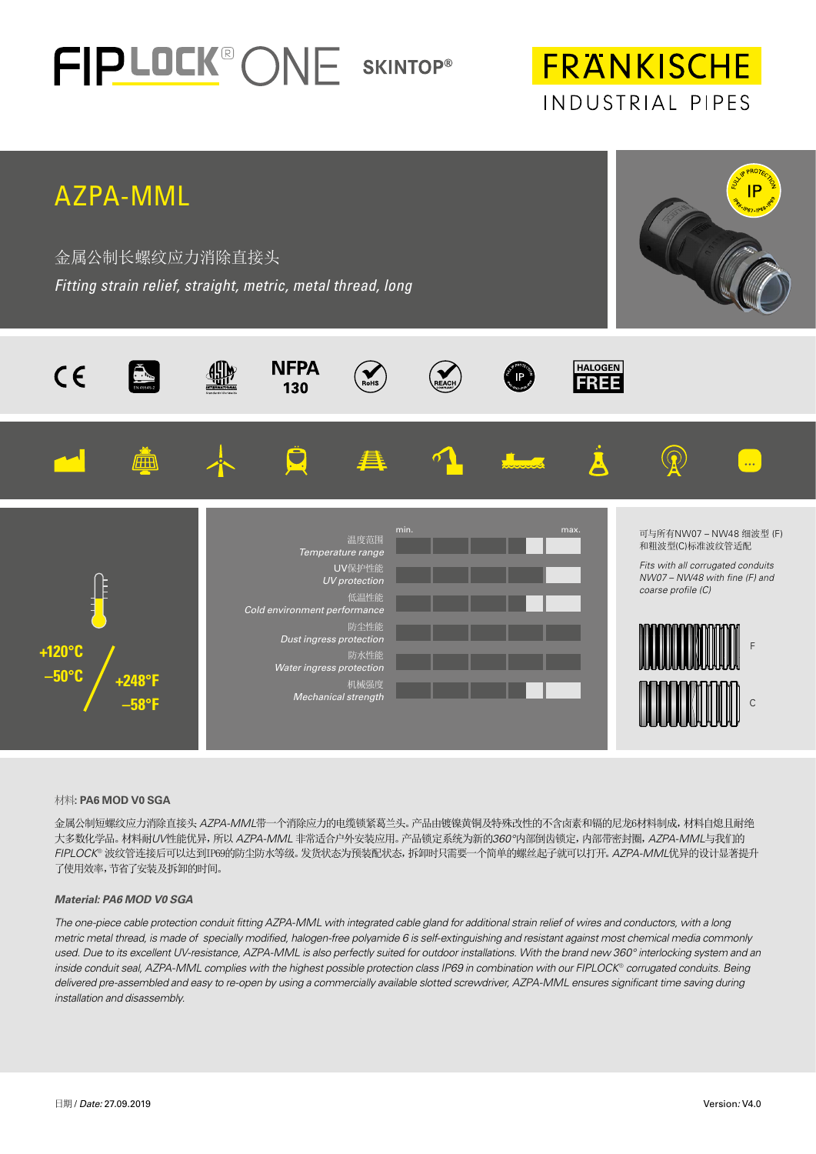## FIPLOCK<sup>®</sup> ONE SKINTOP®

**FRANKISCHE** INDUSTRIAL PIPES



### 材料**: PA6 MOD V0 SGA**

金属公制短螺纹应力消除直接头 *AZPA-MML*带一个消除应力的电缆锁紧葛兰头。产品由镀镍黄铜及特殊改性的不含卤素和镉的尼龙6材料制成,材料自熄且耐绝 大多数化学品。材料耐*UV*性能优异,所以 *AZPA-MML* 非常适合户外安装应用。产品锁定系统为新的*360°*内部倒齿锁定,内部带密封圈,*AZPA-MML*与我们的 *FIPLOCK®* 波纹管连接后可以达到IP69的防尘防水等级。发货状态为预装配状态,拆卸时只需要一个简单的螺丝起子就可以打开。*AZPA-MML*优异的设计显著提升 了使用效率,节省了安装及拆卸的时间。

#### *Material: PA6 MOD V0 SGA*

*The one-piece cable protection conduit fitting AZPA-MML with integrated cable gland for additional strain relief of wires and conductors, with a long metric metal thread, is made of specially modified, halogen-free polyamide 6 is self-extinguishing and resistant against most chemical media commonly*  used. Due to its excellent UV-resistance, AZPA-MML is also perfectly suited for outdoor installations. With the brand new 360° interlocking system and an *inside conduit seal, AZPA-MML complies with the highest possible protection class IP69 in combination with our FIPLOCK*® *corrugated conduits. Being*  delivered pre-assembled and easy to re-open by using a commercially available slotted screwdriver, AZPA-MML ensures significant time saving during *installation and disassembly.*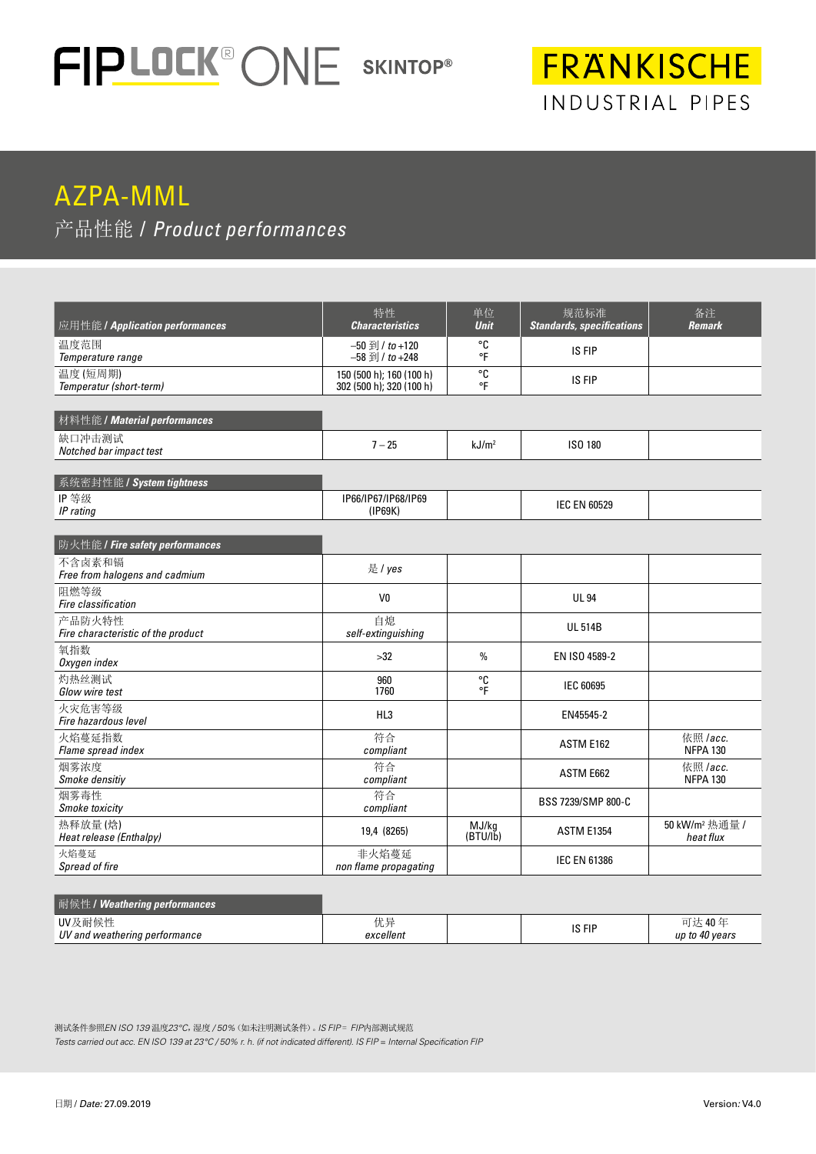## FIPLOCK<sup>®</sup> ONE SKINTOP®

**FRANKISCHE** INDUSTRIAL PIPES

### AZPA-MML 产品性能 / *Product performances*

| 应用性能 / Application performances              | 特性<br><b>Characteristics</b>                                      | 单位<br><b>Unit</b> | 规范标准<br><b>Standards, specifications</b> | 备注<br><b>Remark</b>                     |
|----------------------------------------------|-------------------------------------------------------------------|-------------------|------------------------------------------|-----------------------------------------|
| 温度范围<br>Temperature range                    | $-50$ 到 / to +120<br>$-58 \text{ } \overline{\text{}}1$ / to +248 | °C<br>°F          | IS FIP                                   |                                         |
| 温度(短周期)<br>Temperatur (short-term)           | 150 (500 h); 160 (100 h)<br>302 (500 h); 320 (100 h)              | °C<br>°F          | IS FIP                                   |                                         |
|                                              |                                                                   |                   |                                          |                                         |
| 材料性能 / Material performances                 |                                                                   |                   |                                          |                                         |
| 缺口冲击测试<br>Notched bar impact test            | $7 - 25$                                                          | kJ/m <sup>2</sup> | ISO 180                                  |                                         |
|                                              |                                                                   |                   |                                          |                                         |
| 系统密封性能 / System tightness                    |                                                                   |                   |                                          |                                         |
| IP等级<br>IP rating                            | IP66/IP67/IP68/IP69<br>(IP69K)                                    |                   | <b>IEC EN 60529</b>                      |                                         |
|                                              |                                                                   |                   |                                          |                                         |
| 防火性能 / Fire safety performances              |                                                                   |                   |                                          |                                         |
| 不含卤素和镉<br>Free from halogens and cadmium     | 是 / yes                                                           |                   |                                          |                                         |
| 阻燃等级<br>Fire classification                  | V <sub>0</sub>                                                    |                   | <b>UL 94</b>                             |                                         |
| 产品防火特性<br>Fire characteristic of the product | 自熄<br>self-extinguishing                                          |                   | <b>UL 514B</b>                           |                                         |
| 氧指数<br>Oxygen index                          | $>32$                                                             | $\%$              | EN ISO 4589-2                            |                                         |
| 灼热丝测试<br>Glow wire test                      | 960<br>1760                                                       | °C<br>۰Ė          | <b>IEC 60695</b>                         |                                         |
| 火灾危害等级<br>Fire hazardous level               | HL3                                                               |                   | EN45545-2                                |                                         |
| 火焰蔓延指数<br>Flame spread index                 | 符合<br>compliant                                                   |                   | ASTM E162                                | 依照 /acc.<br><b>NFPA 130</b>             |
| 烟雾浓度<br>Smoke densitiy                       | 符合<br>compliant                                                   |                   | ASTM E662                                | 依照 /acc.<br><b>NFPA 130</b>             |
| 烟雾毒性<br>Smoke toxicity                       | 符合<br>compliant                                                   |                   | BSS 7239/SMP 800-C                       |                                         |
| 热释放量(焓)<br>Heat release (Enthalpy)           | 19,4 (8265)                                                       | MJ/kg<br>(BTU/lb) | <b>ASTM E1354</b>                        | 50 kW/m <sup>2</sup> 热通量 /<br>heat flux |
| 火焰蔓延<br>Spread of fire                       | 非火焰蔓延<br>non flame propagating                                    |                   | <b>IEC EN 61386</b>                      |                                         |

| <b>耐候性/Weathering performances</b>      |                 |        |                          |
|-----------------------------------------|-----------------|--------|--------------------------|
| UV及耐候性<br>UV and weathering performance | 优异<br>excellent | IS FIP | 可达 40年<br>up to 40 years |

测试条件参照*EN ISO 139* 温度*23°C*,湿度 */ 50%*(如未注明测试条件)。*IS FIP* = *FIP*内部测试规范 *Tests carried out acc. EN ISO 139 at 23°C / 50% r. h. (if not indicated different). IS FIP = Internal Specification FIP*